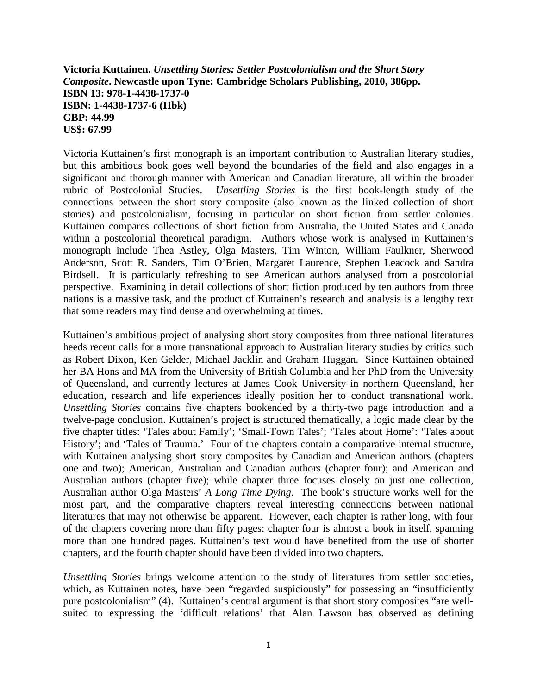## **Victoria Kuttainen.** *Unsettling Stories: Settler Postcolonialism and the Short Story Composite***. Newcastle upon Tyne: Cambridge Scholars Publishing, 2010, 386pp. ISBN 13: 978-1-4438-1737-0 ISBN: 1-4438-1737-6 (Hbk) GBP: 44.99 US\$: 67.99**

Victoria Kuttainen's first monograph is an important contribution to Australian literary studies, but this ambitious book goes well beyond the boundaries of the field and also engages in a significant and thorough manner with American and Canadian literature, all within the broader rubric of Postcolonial Studies. *Unsettling Stories* is the first book-length study of the connections between the short story composite (also known as the linked collection of short stories) and postcolonialism, focusing in particular on short fiction from settler colonies. Kuttainen compares collections of short fiction from Australia, the United States and Canada within a postcolonial theoretical paradigm. Authors whose work is analysed in Kuttainen's monograph include Thea Astley, Olga Masters, Tim Winton, William Faulkner, Sherwood Anderson, Scott R. Sanders, Tim O'Brien, Margaret Laurence, Stephen Leacock and Sandra Birdsell. It is particularly refreshing to see American authors analysed from a postcolonial perspective. Examining in detail collections of short fiction produced by ten authors from three nations is a massive task, and the product of Kuttainen's research and analysis is a lengthy text that some readers may find dense and overwhelming at times.

Kuttainen's ambitious project of analysing short story composites from three national literatures heeds recent calls for a more transnational approach to Australian literary studies by critics such as Robert Dixon, Ken Gelder, Michael Jacklin and Graham Huggan. Since Kuttainen obtained her BA Hons and MA from the University of British Columbia and her PhD from the University of Queensland, and currently lectures at James Cook University in northern Queensland, her education, research and life experiences ideally position her to conduct transnational work. *Unsettling Stories* contains five chapters bookended by a thirty-two page introduction and a twelve-page conclusion. Kuttainen's project is structured thematically, a logic made clear by the five chapter titles: 'Tales about Family'; 'Small-Town Tales'; 'Tales about Home': 'Tales about History'; and 'Tales of Trauma.' Four of the chapters contain a comparative internal structure, with Kuttainen analysing short story composites by Canadian and American authors (chapters one and two); American, Australian and Canadian authors (chapter four); and American and Australian authors (chapter five); while chapter three focuses closely on just one collection, Australian author Olga Masters' *A Long Time Dying*. The book's structure works well for the most part, and the comparative chapters reveal interesting connections between national literatures that may not otherwise be apparent. However, each chapter is rather long, with four of the chapters covering more than fifty pages: chapter four is almost a book in itself, spanning more than one hundred pages. Kuttainen's text would have benefited from the use of shorter chapters, and the fourth chapter should have been divided into two chapters.

*Unsettling Stories* brings welcome attention to the study of literatures from settler societies, which, as Kuttainen notes, have been "regarded suspiciously" for possessing an "insufficiently pure postcolonialism" (4). Kuttainen's central argument is that short story composites "are wellsuited to expressing the 'difficult relations' that Alan Lawson has observed as defining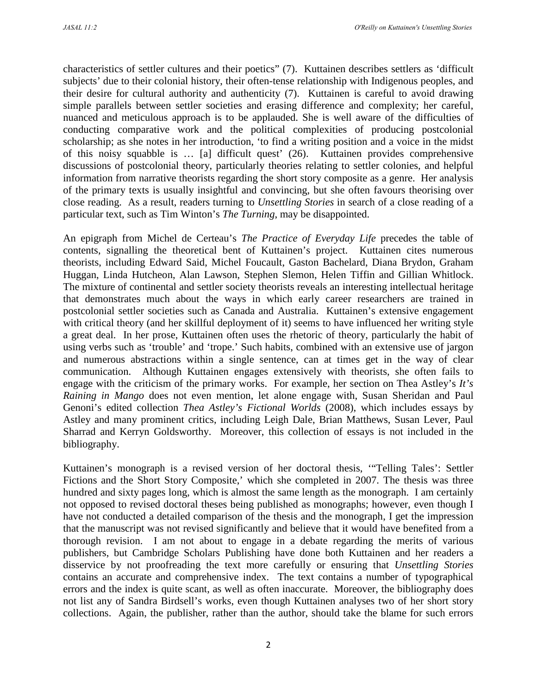characteristics of settler cultures and their poetics" (7). Kuttainen describes settlers as 'difficult subjects' due to their colonial history, their often-tense relationship with Indigenous peoples, and their desire for cultural authority and authenticity (7). Kuttainen is careful to avoid drawing simple parallels between settler societies and erasing difference and complexity; her careful, nuanced and meticulous approach is to be applauded. She is well aware of the difficulties of conducting comparative work and the political complexities of producing postcolonial scholarship; as she notes in her introduction, 'to find a writing position and a voice in the midst of this noisy squabble is … [a] difficult quest' (26). Kuttainen provides comprehensive discussions of postcolonial theory, particularly theories relating to settler colonies, and helpful information from narrative theorists regarding the short story composite as a genre. Her analysis of the primary texts is usually insightful and convincing, but she often favours theorising over close reading. As a result, readers turning to *Unsettling Stories* in search of a close reading of a particular text, such as Tim Winton's *The Turning*, may be disappointed.

An epigraph from Michel de Certeau's *The Practice of Everyday Life* precedes the table of contents, signalling the theoretical bent of Kuttainen's project. Kuttainen cites numerous theorists, including Edward Said, Michel Foucault, Gaston Bachelard, Diana Brydon, Graham Huggan, Linda Hutcheon, Alan Lawson, Stephen Slemon, Helen Tiffin and Gillian Whitlock. The mixture of continental and settler society theorists reveals an interesting intellectual heritage that demonstrates much about the ways in which early career researchers are trained in postcolonial settler societies such as Canada and Australia. Kuttainen's extensive engagement with critical theory (and her skillful deployment of it) seems to have influenced her writing style a great deal. In her prose, Kuttainen often uses the rhetoric of theory, particularly the habit of using verbs such as 'trouble' and 'trope.' Such habits, combined with an extensive use of jargon and numerous abstractions within a single sentence, can at times get in the way of clear communication. Although Kuttainen engages extensively with theorists, she often fails to engage with the criticism of the primary works. For example, her section on Thea Astley's *It's Raining in Mango* does not even mention, let alone engage with, Susan Sheridan and Paul Genoni's edited collection *Thea Astley's Fictional Worlds* (2008), which includes essays by Astley and many prominent critics, including Leigh Dale, Brian Matthews, Susan Lever, Paul Sharrad and Kerryn Goldsworthy. Moreover, this collection of essays is not included in the bibliography.

Kuttainen's monograph is a revised version of her doctoral thesis, '"Telling Tales': Settler Fictions and the Short Story Composite,' which she completed in 2007. The thesis was three hundred and sixty pages long, which is almost the same length as the monograph. I am certainly not opposed to revised doctoral theses being published as monographs; however, even though I have not conducted a detailed comparison of the thesis and the monograph, I get the impression that the manuscript was not revised significantly and believe that it would have benefited from a thorough revision. I am not about to engage in a debate regarding the merits of various publishers, but Cambridge Scholars Publishing have done both Kuttainen and her readers a disservice by not proofreading the text more carefully or ensuring that *Unsettling Stories* contains an accurate and comprehensive index. The text contains a number of typographical errors and the index is quite scant, as well as often inaccurate. Moreover, the bibliography does not list any of Sandra Birdsell's works, even though Kuttainen analyses two of her short story collections. Again, the publisher, rather than the author, should take the blame for such errors